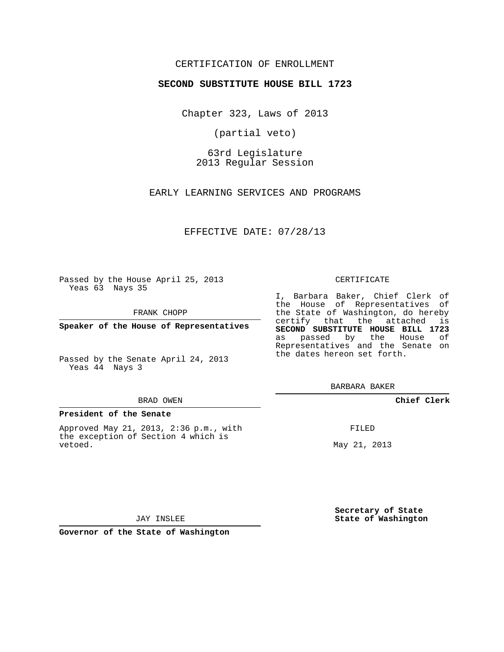## CERTIFICATION OF ENROLLMENT

### **SECOND SUBSTITUTE HOUSE BILL 1723**

Chapter 323, Laws of 2013

(partial veto)

63rd Legislature 2013 Regular Session

EARLY LEARNING SERVICES AND PROGRAMS

EFFECTIVE DATE: 07/28/13

Passed by the House April 25, 2013 Yeas 63 Nays 35

FRANK CHOPP

**Speaker of the House of Representatives**

Passed by the Senate April 24, 2013 Yeas 44 Nays 3

#### BRAD OWEN

#### **President of the Senate**

Approved May 21, 2013, 2:36 p.m., with the exception of Section 4 which is vetoed.

#### CERTIFICATE

I, Barbara Baker, Chief Clerk of the House of Representatives of the State of Washington, do hereby certify that the attached is **SECOND SUBSTITUTE HOUSE BILL 1723** as passed by the House of Representatives and the Senate on the dates hereon set forth.

BARBARA BAKER

**Chief Clerk**

FILED

May 21, 2013

**Secretary of State State of Washington**

JAY INSLEE

**Governor of the State of Washington**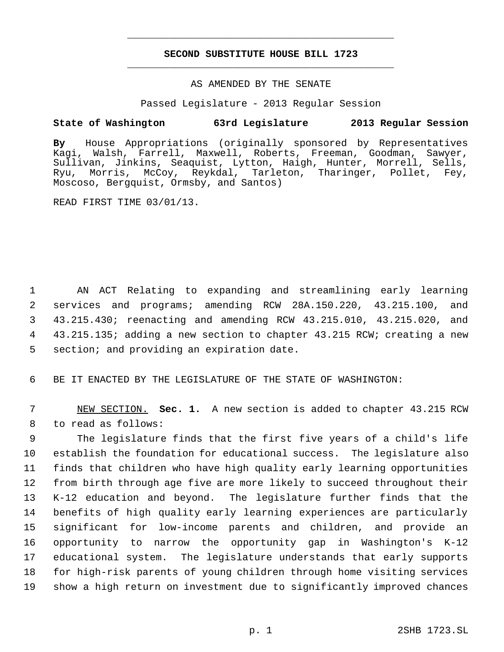# **SECOND SUBSTITUTE HOUSE BILL 1723** \_\_\_\_\_\_\_\_\_\_\_\_\_\_\_\_\_\_\_\_\_\_\_\_\_\_\_\_\_\_\_\_\_\_\_\_\_\_\_\_\_\_\_\_\_

\_\_\_\_\_\_\_\_\_\_\_\_\_\_\_\_\_\_\_\_\_\_\_\_\_\_\_\_\_\_\_\_\_\_\_\_\_\_\_\_\_\_\_\_\_

### AS AMENDED BY THE SENATE

Passed Legislature - 2013 Regular Session

## **State of Washington 63rd Legislature 2013 Regular Session**

**By** House Appropriations (originally sponsored by Representatives Kagi, Walsh, Farrell, Maxwell, Roberts, Freeman, Goodman, Sawyer, Sullivan, Jinkins, Seaquist, Lytton, Haigh, Hunter, Morrell, Sells, Ryu, Morris, McCoy, Reykdal, Tarleton, Tharinger, Pollet, Fey, Moscoso, Bergquist, Ormsby, and Santos)

READ FIRST TIME 03/01/13.

 AN ACT Relating to expanding and streamlining early learning services and programs; amending RCW 28A.150.220, 43.215.100, and 43.215.430; reenacting and amending RCW 43.215.010, 43.215.020, and 43.215.135; adding a new section to chapter 43.215 RCW; creating a new section; and providing an expiration date.

6 BE IT ENACTED BY THE LEGISLATURE OF THE STATE OF WASHINGTON:

 7 NEW SECTION. **Sec. 1.** A new section is added to chapter 43.215 RCW 8 to read as follows:

 The legislature finds that the first five years of a child's life establish the foundation for educational success. The legislature also finds that children who have high quality early learning opportunities from birth through age five are more likely to succeed throughout their K-12 education and beyond. The legislature further finds that the benefits of high quality early learning experiences are particularly significant for low-income parents and children, and provide an opportunity to narrow the opportunity gap in Washington's K-12 educational system. The legislature understands that early supports for high-risk parents of young children through home visiting services show a high return on investment due to significantly improved chances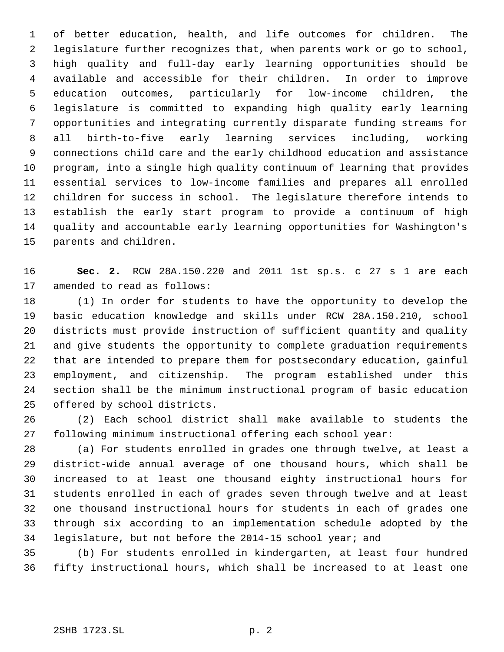of better education, health, and life outcomes for children. The legislature further recognizes that, when parents work or go to school, high quality and full-day early learning opportunities should be available and accessible for their children. In order to improve education outcomes, particularly for low-income children, the legislature is committed to expanding high quality early learning opportunities and integrating currently disparate funding streams for all birth-to-five early learning services including, working connections child care and the early childhood education and assistance program, into a single high quality continuum of learning that provides essential services to low-income families and prepares all enrolled children for success in school. The legislature therefore intends to establish the early start program to provide a continuum of high quality and accountable early learning opportunities for Washington's parents and children.

 **Sec. 2.** RCW 28A.150.220 and 2011 1st sp.s. c 27 s 1 are each amended to read as follows:

 (1) In order for students to have the opportunity to develop the basic education knowledge and skills under RCW 28A.150.210, school districts must provide instruction of sufficient quantity and quality and give students the opportunity to complete graduation requirements that are intended to prepare them for postsecondary education, gainful employment, and citizenship. The program established under this section shall be the minimum instructional program of basic education offered by school districts.

 (2) Each school district shall make available to students the following minimum instructional offering each school year:

 (a) For students enrolled in grades one through twelve, at least a district-wide annual average of one thousand hours, which shall be increased to at least one thousand eighty instructional hours for students enrolled in each of grades seven through twelve and at least one thousand instructional hours for students in each of grades one through six according to an implementation schedule adopted by the legislature, but not before the 2014-15 school year; and

 (b) For students enrolled in kindergarten, at least four hundred fifty instructional hours, which shall be increased to at least one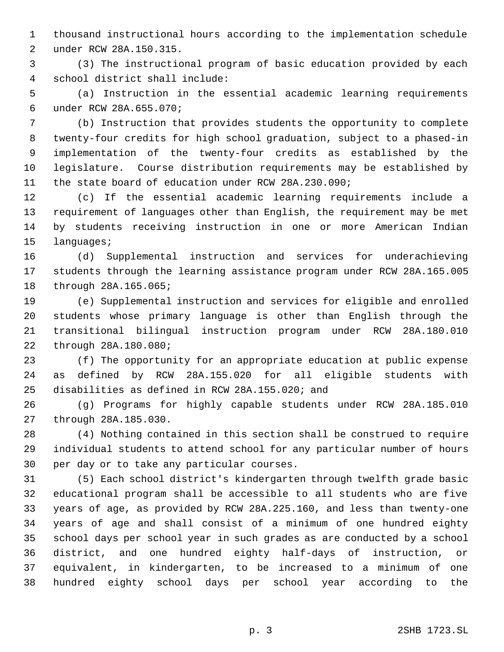thousand instructional hours according to the implementation schedule under RCW 28A.150.315.

 (3) The instructional program of basic education provided by each school district shall include:

 (a) Instruction in the essential academic learning requirements under RCW 28A.655.070;

 (b) Instruction that provides students the opportunity to complete twenty-four credits for high school graduation, subject to a phased-in implementation of the twenty-four credits as established by the legislature. Course distribution requirements may be established by the state board of education under RCW 28A.230.090;

 (c) If the essential academic learning requirements include a requirement of languages other than English, the requirement may be met by students receiving instruction in one or more American Indian languages;

 (d) Supplemental instruction and services for underachieving students through the learning assistance program under RCW 28A.165.005 through 28A.165.065;

 (e) Supplemental instruction and services for eligible and enrolled students whose primary language is other than English through the transitional bilingual instruction program under RCW 28A.180.010 through 28A.180.080;

 (f) The opportunity for an appropriate education at public expense as defined by RCW 28A.155.020 for all eligible students with disabilities as defined in RCW 28A.155.020; and

 (g) Programs for highly capable students under RCW 28A.185.010 through 28A.185.030.

 (4) Nothing contained in this section shall be construed to require individual students to attend school for any particular number of hours per day or to take any particular courses.

 (5) Each school district's kindergarten through twelfth grade basic educational program shall be accessible to all students who are five years of age, as provided by RCW 28A.225.160, and less than twenty-one years of age and shall consist of a minimum of one hundred eighty school days per school year in such grades as are conducted by a school district, and one hundred eighty half-days of instruction, or equivalent, in kindergarten, to be increased to a minimum of one hundred eighty school days per school year according to the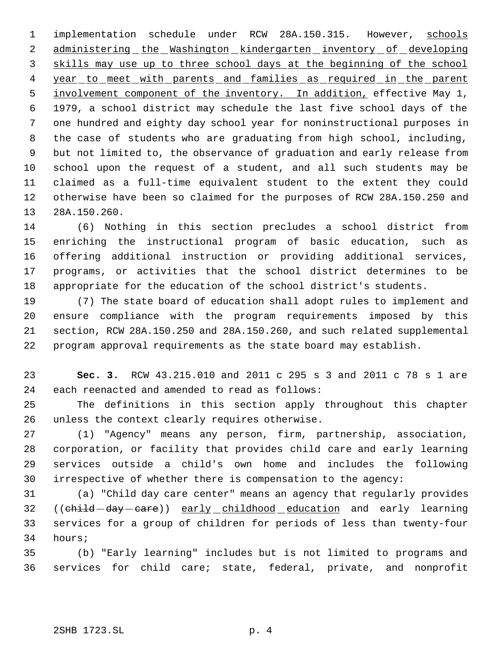1 implementation schedule under RCW 28A.150.315. However, schools 2 administering the Washington kindergarten inventory of developing 3 skills may use up to three school days at the beginning of the school 4 year to meet with parents and families as required in the parent involvement component of the inventory. In addition, effective May 1, 1979, a school district may schedule the last five school days of the one hundred and eighty day school year for noninstructional purposes in the case of students who are graduating from high school, including, but not limited to, the observance of graduation and early release from school upon the request of a student, and all such students may be claimed as a full-time equivalent student to the extent they could otherwise have been so claimed for the purposes of RCW 28A.150.250 and 28A.150.260.

 (6) Nothing in this section precludes a school district from enriching the instructional program of basic education, such as offering additional instruction or providing additional services, programs, or activities that the school district determines to be appropriate for the education of the school district's students.

 (7) The state board of education shall adopt rules to implement and ensure compliance with the program requirements imposed by this section, RCW 28A.150.250 and 28A.150.260, and such related supplemental program approval requirements as the state board may establish.

 **Sec. 3.** RCW 43.215.010 and 2011 c 295 s 3 and 2011 c 78 s 1 are each reenacted and amended to read as follows:

 The definitions in this section apply throughout this chapter unless the context clearly requires otherwise.

 (1) "Agency" means any person, firm, partnership, association, corporation, or facility that provides child care and early learning services outside a child's own home and includes the following irrespective of whether there is compensation to the agency:

 (a) "Child day care center" means an agency that regularly provides 32 ((child -day - care)) early childhood education and early learning services for a group of children for periods of less than twenty-four hours;

 (b) "Early learning" includes but is not limited to programs and services for child care; state, federal, private, and nonprofit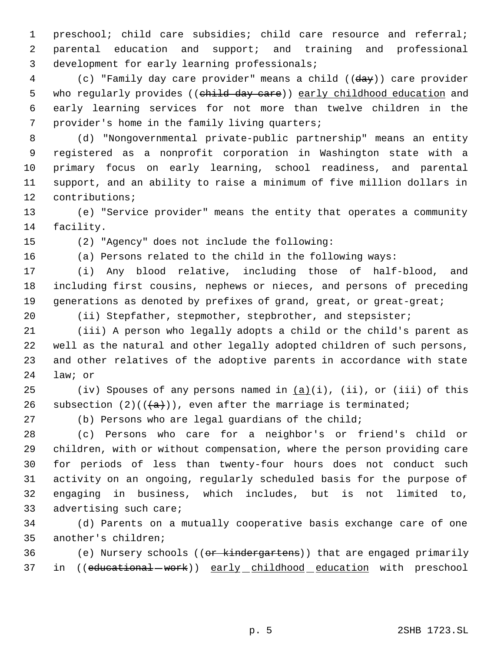preschool; child care subsidies; child care resource and referral; parental education and support; and training and professional development for early learning professionals;

 (c) "Family day care provider" means a child ((day)) care provider 5 who regularly provides ((child day care)) early childhood education and early learning services for not more than twelve children in the provider's home in the family living quarters;

 (d) "Nongovernmental private-public partnership" means an entity registered as a nonprofit corporation in Washington state with a primary focus on early learning, school readiness, and parental support, and an ability to raise a minimum of five million dollars in contributions;

 (e) "Service provider" means the entity that operates a community facility.

(2) "Agency" does not include the following:

(a) Persons related to the child in the following ways:

 (i) Any blood relative, including those of half-blood, and including first cousins, nephews or nieces, and persons of preceding 19 generations as denoted by prefixes of grand, great, or great-great;

(ii) Stepfather, stepmother, stepbrother, and stepsister;

 (iii) A person who legally adopts a child or the child's parent as well as the natural and other legally adopted children of such persons, and other relatives of the adoptive parents in accordance with state law; or

25 (iv) Spouses of any persons named in  $(a)(i)$ , (ii), or (iii) of this 26 subsection  $(2)((\{a\}))$ , even after the marriage is terminated;

(b) Persons who are legal guardians of the child;

 (c) Persons who care for a neighbor's or friend's child or children, with or without compensation, where the person providing care for periods of less than twenty-four hours does not conduct such activity on an ongoing, regularly scheduled basis for the purpose of engaging in business, which includes, but is not limited to, advertising such care;

 (d) Parents on a mutually cooperative basis exchange care of one another's children;

36 (e) Nursery schools ((or kindergartens)) that are engaged primarily 37 in ((educational - work)) early childhood education with preschool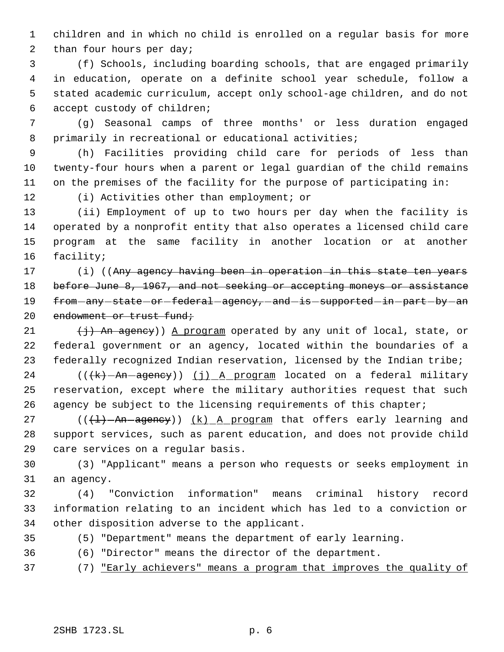children and in which no child is enrolled on a regular basis for more 2 than four hours per day;

 (f) Schools, including boarding schools, that are engaged primarily in education, operate on a definite school year schedule, follow a stated academic curriculum, accept only school-age children, and do not accept custody of children;

 (g) Seasonal camps of three months' or less duration engaged primarily in recreational or educational activities;

 (h) Facilities providing child care for periods of less than twenty-four hours when a parent or legal guardian of the child remains on the premises of the facility for the purpose of participating in:

(i) Activities other than employment; or

 (ii) Employment of up to two hours per day when the facility is operated by a nonprofit entity that also operates a licensed child care program at the same facility in another location or at another facility;

17 (i) ((Any agency having been in operation in this state ten years 18 before June 8, 1967, and not seeking or accepting moneys or assistance 19 from-any-state-or-federal-agency,-and-is-supported-in-part-by-an 20 endowment or trust fund;

21  $(1)$  An agency)) A program operated by any unit of local, state, or federal government or an agency, located within the boundaries of a federally recognized Indian reservation, licensed by the Indian tribe;

24 (((k) - An - agency)) (j) A program located on a federal military reservation, except where the military authorities request that such 26 agency be subject to the licensing requirements of this chapter;

27 ( $(\overline{+1} - A n - a$ gency)) <u>(k) A program</u> that offers early learning and support services, such as parent education, and does not provide child care services on a regular basis.

 (3) "Applicant" means a person who requests or seeks employment in an agency.

 (4) "Conviction information" means criminal history record information relating to an incident which has led to a conviction or other disposition adverse to the applicant.

- 
- (5) "Department" means the department of early learning.

(6) "Director" means the director of the department.

(7) "Early achievers" means a program that improves the quality of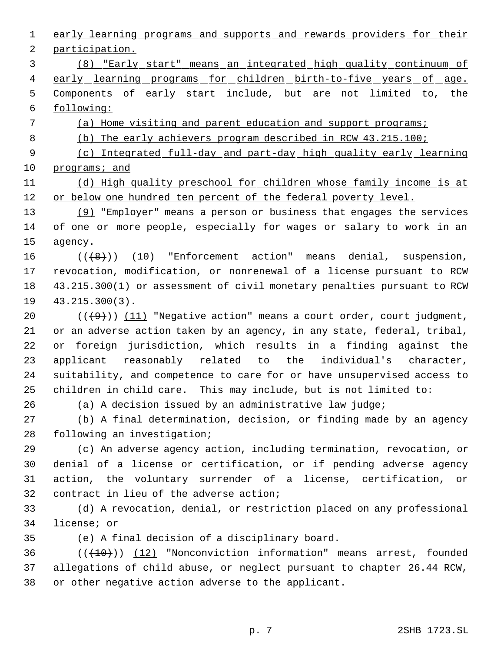early learning programs and supports and rewards providers for their participation. (8) "Early start" means an integrated high quality continuum of 4 early learning programs for children birth-to-five years of age. 5 Components of early start include, but are not limited to, the following: (a) Home visiting and parent education and support programs; (b) The early achievers program described in RCW 43.215.100; (c) Integrated full-day and part-day high quality early learning programs; and (d) High quality preschool for children whose family income is at or below one hundred ten percent of the federal poverty level. (9) "Employer" means a person or business that engages the services of one or more people, especially for wages or salary to work in an agency.  $((+8))$   $(10)$  "Enforcement action" means denial, suspension, revocation, modification, or nonrenewal of a license pursuant to RCW 43.215.300(1) or assessment of civil monetary penalties pursuant to RCW 43.215.300(3).  $((+9))$   $(11)$  "Negative action" means a court order, court judgment, or an adverse action taken by an agency, in any state, federal, tribal, or foreign jurisdiction, which results in a finding against the applicant reasonably related to the individual's character, suitability, and competence to care for or have unsupervised access to children in child care. This may include, but is not limited to: (a) A decision issued by an administrative law judge; (b) A final determination, decision, or finding made by an agency following an investigation; (c) An adverse agency action, including termination, revocation, or denial of a license or certification, or if pending adverse agency action, the voluntary surrender of a license, certification, or contract in lieu of the adverse action; (d) A revocation, denial, or restriction placed on any professional license; or (e) A final decision of a disciplinary board.  $((+10))$  (12) "Nonconviction information" means arrest, founded allegations of child abuse, or neglect pursuant to chapter 26.44 RCW, or other negative action adverse to the applicant. p. 7 2SHB 1723.SL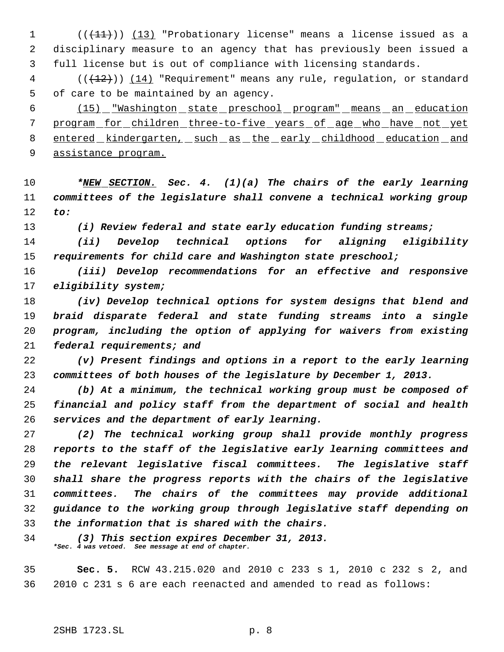$((+11))$   $(13)$  "Probationary license" means a license issued as a disciplinary measure to an agency that has previously been issued a full license but is out of compliance with licensing standards.

 (( $\left(\frac{12}{12}\right)$ ) (14) "Requirement" means any rule, requlation, or standard of care to be maintained by an agency.

 (15) "Washington state preschool program" means an education program for children three-to-five years of age who have not yet entered kindergarten, such as the early childhood education and assistance program.

 *\*NEW SECTION. Sec. 4. (1)(a) The chairs of the early learning committees of the legislature shall convene a technical working group to:*

*(i) Review federal and state early education funding streams;*

 *(ii) Develop technical options for aligning eligibility requirements for child care and Washington state preschool;*

 *(iii) Develop recommendations for an effective and responsive eligibility system;*

 *(iv) Develop technical options for system designs that blend and braid disparate federal and state funding streams into a single program, including the option of applying for waivers from existing federal requirements; and*

 *(v) Present findings and options in a report to the early learning committees of both houses of the legislature by December 1, 2013.*

 *(b) At a minimum, the technical working group must be composed of financial and policy staff from the department of social and health services and the department of early learning.*

 *(2) The technical working group shall provide monthly progress reports to the staff of the legislative early learning committees and the relevant legislative fiscal committees. The legislative staff shall share the progress reports with the chairs of the legislative committees. The chairs of the committees may provide additional guidance to the working group through legislative staff depending on the information that is shared with the chairs.*

 *(3) This section expires December 31, 2013. \*Sec. 4 was vetoed. See message at end of chapter.*

 **Sec. 5.** RCW 43.215.020 and 2010 c 233 s 1, 2010 c 232 s 2, and 2010 c 231 s 6 are each reenacted and amended to read as follows: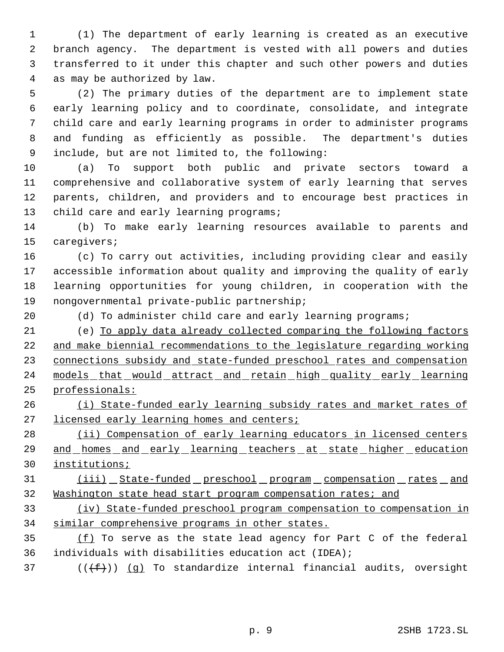(1) The department of early learning is created as an executive branch agency. The department is vested with all powers and duties transferred to it under this chapter and such other powers and duties as may be authorized by law.

 (2) The primary duties of the department are to implement state early learning policy and to coordinate, consolidate, and integrate child care and early learning programs in order to administer programs and funding as efficiently as possible. The department's duties include, but are not limited to, the following:

 (a) To support both public and private sectors toward a comprehensive and collaborative system of early learning that serves parents, children, and providers and to encourage best practices in 13 child care and early learning programs;

 (b) To make early learning resources available to parents and caregivers;

 (c) To carry out activities, including providing clear and easily accessible information about quality and improving the quality of early learning opportunities for young children, in cooperation with the nongovernmental private-public partnership;

(d) To administer child care and early learning programs;

 (e) To apply data already collected comparing the following factors and make biennial recommendations to the legislature regarding working connections subsidy and state-funded preschool rates and compensation 24 models that would attract and retain high quality early learning professionals:

26 (i) State-funded early learning subsidy rates and market rates of 27 licensed early learning homes and centers;

28 (ii) Compensation of early learning educators in licensed centers 29 and homes and early learning teachers at state higher education institutions;

31 (iii) State-funded preschool program compensation rates and Washington state head start program compensation rates; and

 (iv) State-funded preschool program compensation to compensation in similar comprehensive programs in other states.

 (f) To serve as the state lead agency for Part C of the federal individuals with disabilities education act (IDEA);

(( $(f+)$ ) (g) To standardize internal financial audits, oversight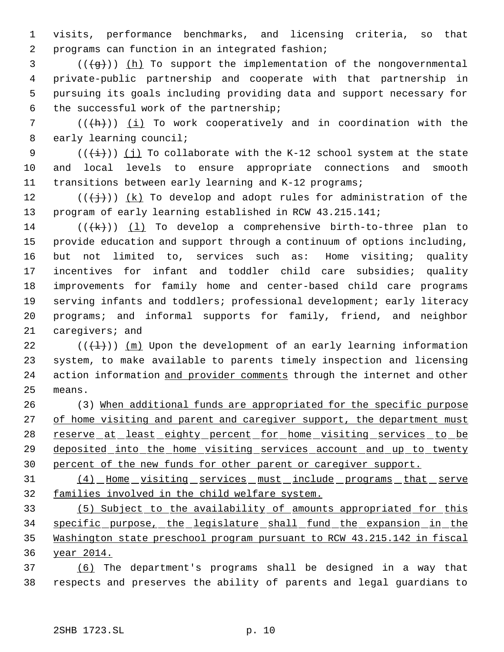visits, performance benchmarks, and licensing criteria, so that programs can function in an integrated fashion;

 ( $(\frac{1}{9})$ ) (h) To support the implementation of the nongovernmental private-public partnership and cooperate with that partnership in pursuing its goals including providing data and support necessary for the successful work of the partnership;

7 ( $(\overline{h})$ ) (i) To work cooperatively and in coordination with the early learning council;

9  $((\overleftrightarrow{t}))$  (j) To collaborate with the K-12 school system at the state and local levels to ensure appropriate connections and smooth transitions between early learning and K-12 programs;

12 ( $(\{\dagger\})$ ) (k) To develop and adopt rules for administration of the program of early learning established in RCW 43.215.141;

14 ( $(\{\mathsf{k}\})$ ) (1) To develop a comprehensive birth-to-three plan to provide education and support through a continuum of options including, but not limited to, services such as: Home visiting; quality incentives for infant and toddler child care subsidies; quality improvements for family home and center-based child care programs serving infants and toddlers; professional development; early literacy programs; and informal supports for family, friend, and neighbor caregivers; and

22  $((+1))$   $(m)$  Upon the development of an early learning information system, to make available to parents timely inspection and licensing 24 action information and provider comments through the internet and other means.

 (3) When additional funds are appropriated for the specific purpose 27 of home visiting and parent and caregiver support, the department must 28 reserve at least eighty percent for home visiting services to be 29 deposited into the home visiting services account and up to twenty percent of the new funds for other parent or caregiver support.

 (4) Home visiting services must include programs that serve families involved in the child welfare system.

 (5) Subject to the availability of amounts appropriated for this specific purpose, the legislature shall fund the expansion in the Washington state preschool program pursuant to RCW 43.215.142 in fiscal year 2014.

 (6) The department's programs shall be designed in a way that respects and preserves the ability of parents and legal guardians to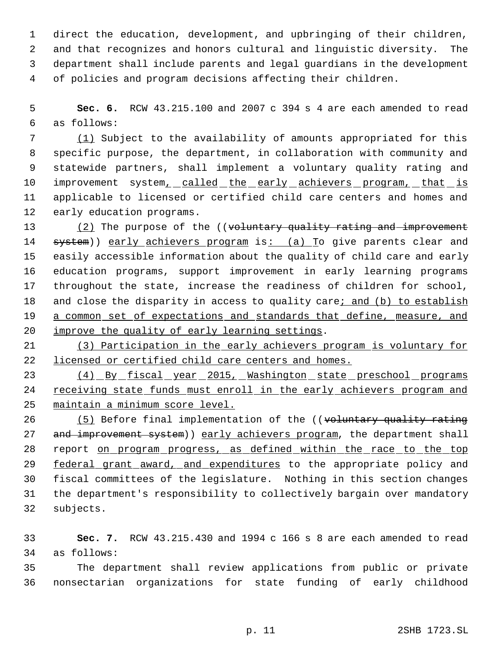direct the education, development, and upbringing of their children, and that recognizes and honors cultural and linguistic diversity. The department shall include parents and legal guardians in the development of policies and program decisions affecting their children.

 **Sec. 6.** RCW 43.215.100 and 2007 c 394 s 4 are each amended to read as follows:

 (1) Subject to the availability of amounts appropriated for this specific purpose, the department, in collaboration with community and statewide partners, shall implement a voluntary quality rating and 10 improvement system, called the early achievers program, that is applicable to licensed or certified child care centers and homes and early education programs.

13 (2) The purpose of the ((voluntary quality rating and improvement 14 system)) early achievers program is: (a) To give parents clear and easily accessible information about the quality of child care and early education programs, support improvement in early learning programs throughout the state, increase the readiness of children for school, 18 and close the disparity in access to quality care; and (b) to establish 19 a common set of expectations and standards that define, measure, and improve the quality of early learning settings.

 (3) Participation in the early achievers program is voluntary for licensed or certified child care centers and homes.

23 (4) By fiscal year 2015, Washington state preschool programs receiving state funds must enroll in the early achievers program and maintain a minimum score level.

26 (5) Before final implementation of the ((voluntary quality rating 27 and improvement system)) early achievers program, the department shall 28 report on program progress, as defined within the race to the top 29 federal grant award, and expenditures to the appropriate policy and fiscal committees of the legislature. Nothing in this section changes the department's responsibility to collectively bargain over mandatory subjects.

 **Sec. 7.** RCW 43.215.430 and 1994 c 166 s 8 are each amended to read as follows:

 The department shall review applications from public or private nonsectarian organizations for state funding of early childhood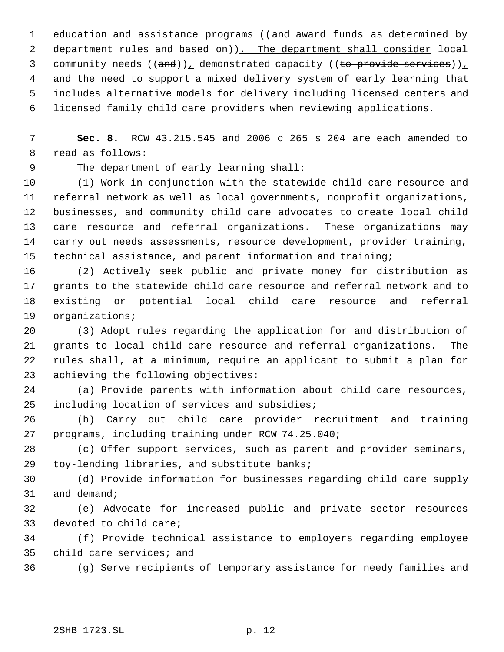1 education and assistance programs ((and award funds as determined by 2 department rules and based on)). The department shall consider local 3 community needs  $((and))_L$  demonstrated capacity  $((to provide services))_L$ 4 and the need to support a mixed delivery system of early learning that includes alternative models for delivery including licensed centers and

licensed family child care providers when reviewing applications.

 **Sec. 8.** RCW 43.215.545 and 2006 c 265 s 204 are each amended to read as follows:

The department of early learning shall:

 (1) Work in conjunction with the statewide child care resource and referral network as well as local governments, nonprofit organizations, businesses, and community child care advocates to create local child care resource and referral organizations. These organizations may carry out needs assessments, resource development, provider training, technical assistance, and parent information and training;

 (2) Actively seek public and private money for distribution as grants to the statewide child care resource and referral network and to existing or potential local child care resource and referral organizations;

 (3) Adopt rules regarding the application for and distribution of grants to local child care resource and referral organizations. The rules shall, at a minimum, require an applicant to submit a plan for achieving the following objectives:

 (a) Provide parents with information about child care resources, including location of services and subsidies;

 (b) Carry out child care provider recruitment and training programs, including training under RCW 74.25.040;

 (c) Offer support services, such as parent and provider seminars, toy-lending libraries, and substitute banks;

 (d) Provide information for businesses regarding child care supply and demand;

 (e) Advocate for increased public and private sector resources devoted to child care;

 (f) Provide technical assistance to employers regarding employee child care services; and

(g) Serve recipients of temporary assistance for needy families and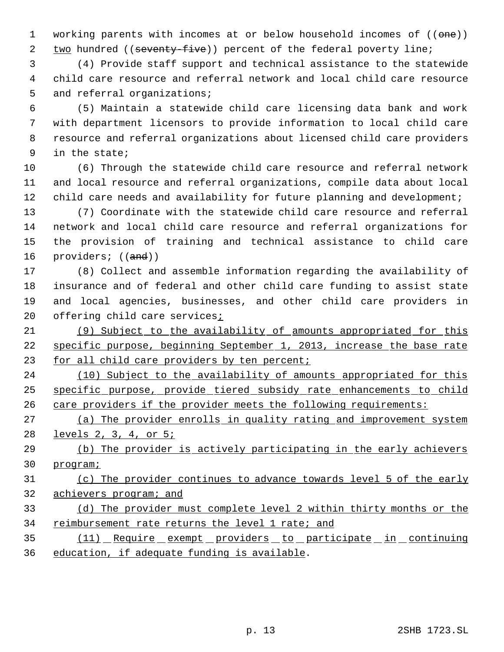1 working parents with incomes at or below household incomes of ((one)) 2 two hundred ((seventy-five)) percent of the federal poverty line;

 (4) Provide staff support and technical assistance to the statewide child care resource and referral network and local child care resource 5 and referral organizations;

 (5) Maintain a statewide child care licensing data bank and work with department licensors to provide information to local child care resource and referral organizations about licensed child care providers in the state;

 (6) Through the statewide child care resource and referral network and local resource and referral organizations, compile data about local 12 child care needs and availability for future planning and development;

 (7) Coordinate with the statewide child care resource and referral network and local child care resource and referral organizations for the provision of training and technical assistance to child care 16 providers; ((and))

 (8) Collect and assemble information regarding the availability of insurance and of federal and other child care funding to assist state and local agencies, businesses, and other child care providers in 20 offering child care services;

 (9) Subject to the availability of amounts appropriated for this specific purpose, beginning September 1, 2013, increase the base rate 23 for all child care providers by ten percent;

24 (10) Subject to the availability of amounts appropriated for this specific purpose, provide tiered subsidy rate enhancements to child care providers if the provider meets the following requirements:

 (a) The provider enrolls in quality rating and improvement system levels 2, 3, 4, or 5;

 (b) The provider is actively participating in the early achievers program;

 (c) The provider continues to advance towards level 5 of the early achievers program; and

 (d) The provider must complete level 2 within thirty months or the 34 reimbursement rate returns the level 1 rate; and

 (11) Require exempt providers to participate in continuing education, if adequate funding is available.